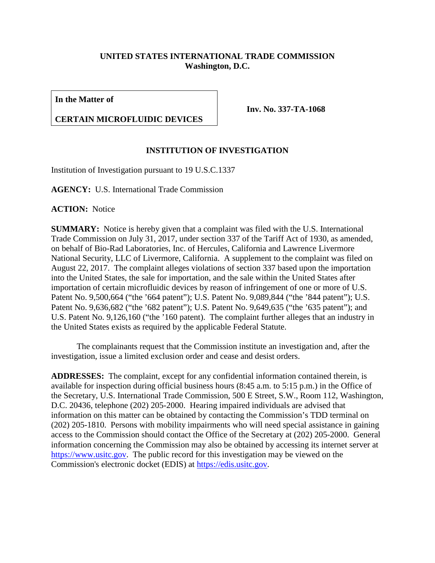## **UNITED STATES INTERNATIONAL TRADE COMMISSION Washington, D.C.**

**In the Matter of**

## **CERTAIN MICROFLUIDIC DEVICES**

**Inv. No. 337-TA-1068**

## **INSTITUTION OF INVESTIGATION**

Institution of Investigation pursuant to 19 U.S.C.1337

**AGENCY:** U.S. International Trade Commission

**ACTION:** Notice

**SUMMARY:** Notice is hereby given that a complaint was filed with the U.S. International Trade Commission on July 31, 2017, under section 337 of the Tariff Act of 1930, as amended, on behalf of Bio-Rad Laboratories, Inc. of Hercules, California and Lawrence Livermore National Security, LLC of Livermore, California. A supplement to the complaint was filed on August 22, 2017. The complaint alleges violations of section 337 based upon the importation into the United States, the sale for importation, and the sale within the United States after importation of certain microfluidic devices by reason of infringement of one or more of U.S. Patent No. 9,500,664 ("the '664 patent"); U.S. Patent No. 9,089,844 ("the '844 patent"); U.S. Patent No. 9,636,682 ("the '682 patent"); U.S. Patent No. 9,649,635 ("the '635 patent"); and U.S. Patent No. 9,126,160 ("the '160 patent). The complaint further alleges that an industry in the United States exists as required by the applicable Federal Statute.

The complainants request that the Commission institute an investigation and, after the investigation, issue a limited exclusion order and cease and desist orders.

**ADDRESSES:** The complaint, except for any confidential information contained therein, is available for inspection during official business hours (8:45 a.m. to 5:15 p.m.) in the Office of the Secretary, U.S. International Trade Commission, 500 E Street, S.W., Room 112, Washington, D.C. 20436, telephone (202) 205-2000. Hearing impaired individuals are advised that information on this matter can be obtained by contacting the Commission's TDD terminal on (202) 205-1810. Persons with mobility impairments who will need special assistance in gaining access to the Commission should contact the Office of the Secretary at (202) 205-2000. General information concerning the Commission may also be obtained by accessing its internet server at [https://www.usitc.gov.](https://www.usitc.gov/) The public record for this investigation may be viewed on the Commission's electronic docket (EDIS) at [https://edis.usitc.gov.](https://edis.usitc.gov/)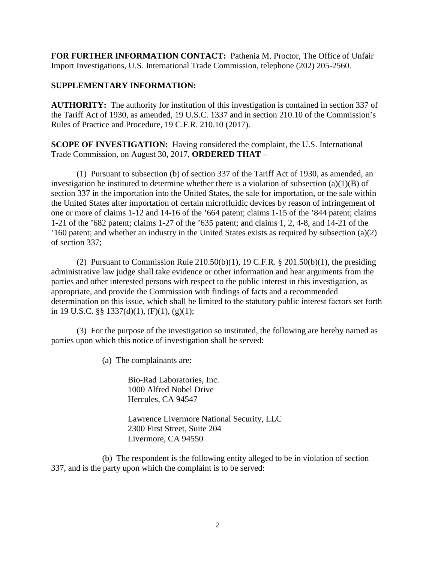**FOR FURTHER INFORMATION CONTACT:** Pathenia M. Proctor, The Office of Unfair Import Investigations, U.S. International Trade Commission, telephone (202) 205-2560.

## **SUPPLEMENTARY INFORMATION:**

**AUTHORITY:** The authority for institution of this investigation is contained in section 337 of the Tariff Act of 1930, as amended, 19 U.S.C. 1337 and in section 210.10 of the Commission's Rules of Practice and Procedure, 19 C.F.R. 210.10 (2017).

**SCOPE OF INVESTIGATION:** Having considered the complaint, the U.S. International Trade Commission, on August 30, 2017, **ORDERED THAT** –

(1) Pursuant to subsection (b) of section 337 of the Tariff Act of 1930, as amended, an investigation be instituted to determine whether there is a violation of subsection  $(a)(1)(B)$  of section 337 in the importation into the United States, the sale for importation, or the sale within the United States after importation of certain microfluidic devices by reason of infringement of one or more of claims 1-12 and 14-16 of the '664 patent; claims 1-15 of the '844 patent; claims 1-21 of the '682 patent; claims 1-27 of the '635 patent; and claims 1, 2, 4-8, and 14-21 of the '160 patent; and whether an industry in the United States exists as required by subsection (a)(2) of section 337;

(2) Pursuant to Commission Rule  $210.50(b)(1)$ , 19 C.F.R. § 201.50(b)(1), the presiding administrative law judge shall take evidence or other information and hear arguments from the parties and other interested persons with respect to the public interest in this investigation, as appropriate, and provide the Commission with findings of facts and a recommended determination on this issue, which shall be limited to the statutory public interest factors set forth in 19 U.S.C. §§ 1337(d)(1), (F)(1), (g)(1);

(3) For the purpose of the investigation so instituted, the following are hereby named as parties upon which this notice of investigation shall be served:

(a) The complainants are:

Bio-Rad Laboratories, Inc. 1000 Alfred Nobel Drive Hercules, CA 94547

Lawrence Livermore National Security, LLC 2300 First Street, Suite 204 Livermore, CA 94550

(b) The respondent is the following entity alleged to be in violation of section 337, and is the party upon which the complaint is to be served: